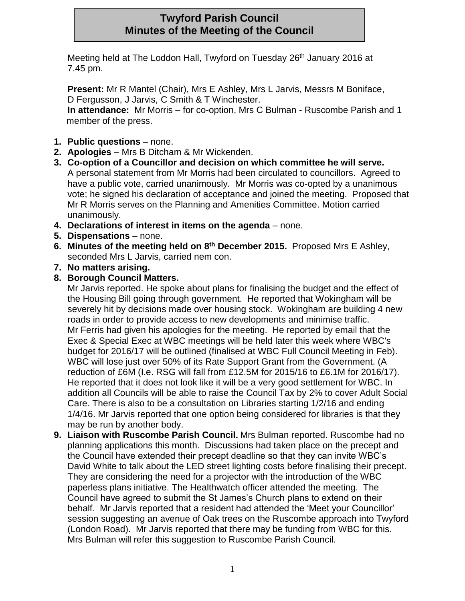# **Twyford Parish Council Minutes of the Meeting of the Council**

Meeting held at The Loddon Hall, Twyford on Tuesday 26<sup>th</sup> January 2016 at 7.45 pm.

**Present:** Mr R Mantel (Chair), Mrs E Ashley, Mrs L Jarvis, Messrs M Boniface, D Fergusson, J Jarvis, C Smith & T Winchester.

**In attendance:** Mr Morris – for co-option, Mrs C Bulman - Ruscombe Parish and 1 member of the press.

- **1. Public questions**  none.
- **2. Apologies**  Mrs B Ditcham & Mr Wickenden.
- **3. Co-option of a Councillor and decision on which committee he will serve.**  A personal statement from Mr Morris had been circulated to councillors. Agreed to have a public vote, carried unanimously. Mr Morris was co-opted by a unanimous vote; he signed his declaration of acceptance and joined the meeting. Proposed that Mr R Morris serves on the Planning and Amenities Committee. Motion carried unanimously.
- **4. Declarations of interest in items on the agenda**  none.
- **5. Dispensations**  none.
- **6. Minutes of the meeting held on 8 th December 2015.** Proposed Mrs E Ashley, seconded Mrs L Jarvis, carried nem con.
- **7. No matters arising.**
- **8. Borough Council Matters.**

Mr Jarvis reported. He spoke about plans for finalising the budget and the effect of the Housing Bill going through government. He reported that Wokingham will be severely hit by decisions made over housing stock. Wokingham are building 4 new roads in order to provide access to new developments and minimise traffic. Mr Ferris had given his apologies for the meeting. He reported by email that the Exec & Special Exec at WBC meetings will be held later this week where WBC's budget for 2016/17 will be outlined (finalised at WBC Full Council Meeting in Feb). WBC will lose just over 50% of its Rate Support Grant from the Government. (A reduction of £6M (I.e. RSG will fall from £12.5M for 2015/16 to £6.1M for 2016/17). He reported that it does not look like it will be a very good settlement for WBC. In addition all Councils will be able to raise the Council Tax by 2% to cover Adult Social Care. There is also to be a consultation on Libraries starting 1/2/16 and ending 1/4/16. Mr Jarvis reported that one option being considered for libraries is that they may be run by another body.

**9. Liaison with Ruscombe Parish Council.** Mrs Bulman reported. Ruscombe had no planning applications this month. Discussions had taken place on the precept and the Council have extended their precept deadline so that they can invite WBC's David White to talk about the LED street lighting costs before finalising their precept. They are considering the need for a projector with the introduction of the WBC paperless plans initiative. The Healthwatch officer attended the meeting. The Council have agreed to submit the St James's Church plans to extend on their behalf. Mr Jarvis reported that a resident had attended the 'Meet your Councillor' session suggesting an avenue of Oak trees on the Ruscombe approach into Twyford (London Road). Mr Jarvis reported that there may be funding from WBC for this. Mrs Bulman will refer this suggestion to Ruscombe Parish Council.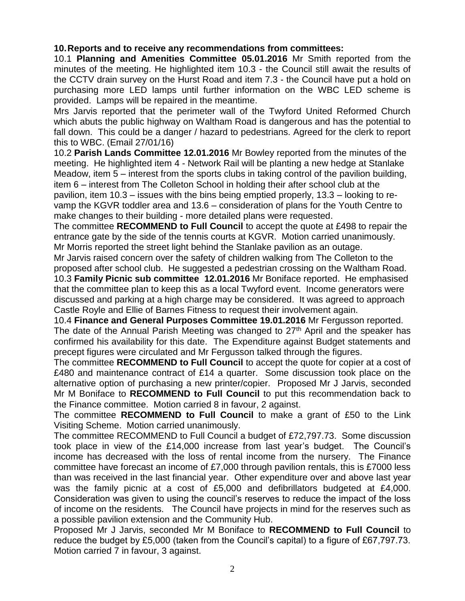## **10.Reports and to receive any recommendations from committees:**

10.1 **Planning and Amenities Committee 05.01.2016** Mr Smith reported from the minutes of the meeting. He highlighted item 10.3 - the Council still await the results of the CCTV drain survey on the Hurst Road and item 7.3 - the Council have put a hold on purchasing more LED lamps until further information on the WBC LED scheme is provided. Lamps will be repaired in the meantime.

Mrs Jarvis reported that the perimeter wall of the Twyford United Reformed Church which abuts the public highway on Waltham Road is dangerous and has the potential to fall down. This could be a danger / hazard to pedestrians. Agreed for the clerk to report this to WBC. (Email 27/01/16)

10.2 **Parish Lands Committee 12.01.2016** Mr Bowley reported from the minutes of the meeting. He highlighted item 4 - Network Rail will be planting a new hedge at Stanlake Meadow, item 5 – interest from the sports clubs in taking control of the pavilion building, item 6 – interest from The Colleton School in holding their after school club at the pavilion, item 10.3 – issues with the bins being emptied properly, 13.3 – looking to revamp the KGVR toddler area and 13.6 – consideration of plans for the Youth Centre to make changes to their building - more detailed plans were requested.

The committee **RECOMMEND to Full Council** to accept the quote at £498 to repair the entrance gate by the side of the tennis courts at KGVR. Motion carried unanimously. Mr Morris reported the street light behind the Stanlake pavilion as an outage.

Mr Jarvis raised concern over the safety of children walking from The Colleton to the proposed after school club. He suggested a pedestrian crossing on the Waltham Road. 10.3 **Family Picnic sub committee 12.01.2016** Mr Boniface reported. He emphasised that the committee plan to keep this as a local Twyford event. Income generators were discussed and parking at a high charge may be considered. It was agreed to approach Castle Royle and Ellie of Barnes Fitness to request their involvement again.

10.4 **Finance and General Purposes Committee 19.01.2016** Mr Fergusson reported. The date of the Annual Parish Meeting was changed to 27<sup>th</sup> April and the speaker has confirmed his availability for this date. The Expenditure against Budget statements and precept figures were circulated and Mr Fergusson talked through the figures.

The committee **RECOMMEND to Full Council** to accept the quote for copier at a cost of £480 and maintenance contract of £14 a quarter. Some discussion took place on the alternative option of purchasing a new printer/copier. Proposed Mr J Jarvis, seconded Mr M Boniface to **RECOMMEND to Full Council** to put this recommendation back to the Finance committee. Motion carried 8 in favour, 2 against.

The committee **RECOMMEND to Full Council** to make a grant of £50 to the Link Visiting Scheme. Motion carried unanimously.

The committee RECOMMEND to Full Council a budget of £72,797.73. Some discussion took place in view of the £14,000 increase from last year's budget. The Council's income has decreased with the loss of rental income from the nursery. The Finance committee have forecast an income of £7,000 through pavilion rentals, this is £7000 less than was received in the last financial year. Other expenditure over and above last year was the family picnic at a cost of £5,000 and defibrillators budgeted at £4,000. Consideration was given to using the council's reserves to reduce the impact of the loss of income on the residents. The Council have projects in mind for the reserves such as a possible pavilion extension and the Community Hub.

Proposed Mr J Jarvis, seconded Mr M Boniface to **RECOMMEND to Full Council** to reduce the budget by £5,000 (taken from the Council's capital) to a figure of £67,797.73. Motion carried 7 in favour, 3 against.